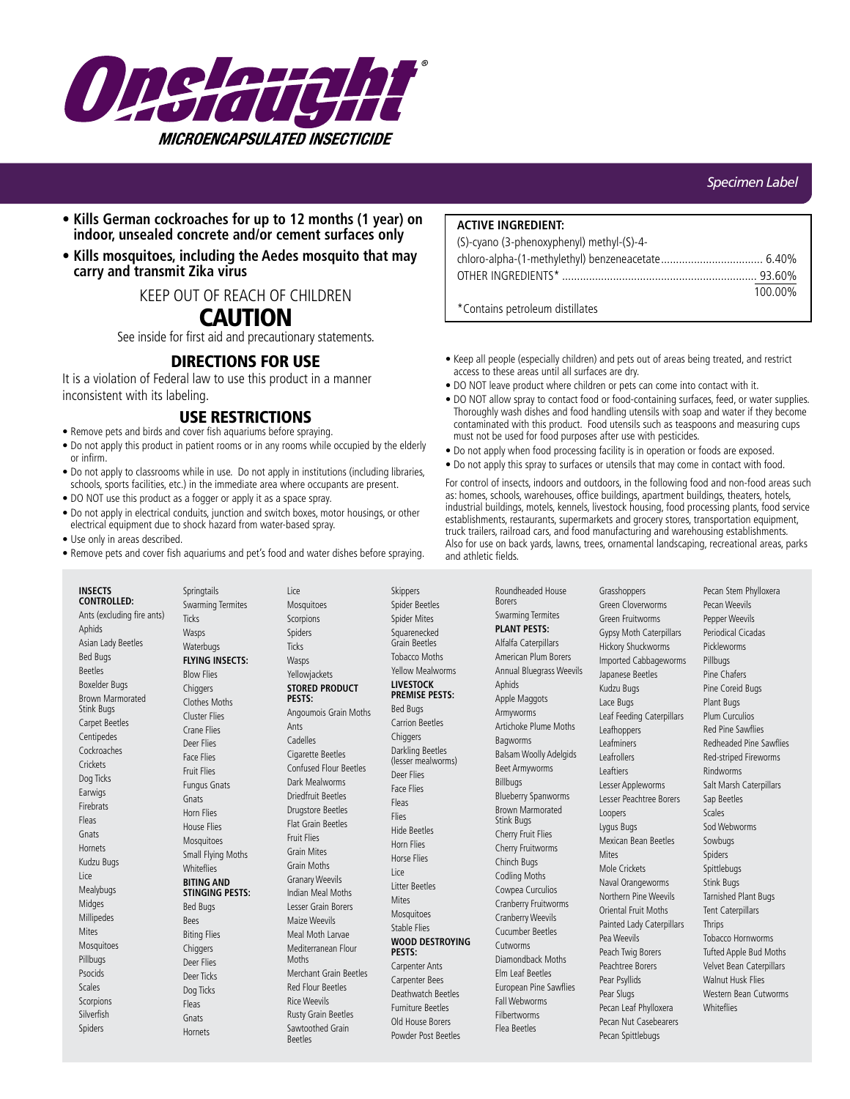

- **Kills German cockroaches for up to 12 months (1 year) on indoor, unsealed concrete and/or cement surfaces only**
- **Kills mosquitoes, including the Aedes mosquito that may carry and transmit Zika virus**

KEEP OUT OF REACH OF CHILDREN

# CAUTION

See inside for first aid and precautionary statements.

# DIRECTIONS FOR USE

It is a violation of Federal law to use this product in a manner inconsistent with its labeling.

# USE RESTRICTIONS

- Remove pets and birds and cover fish aquariums before spraying.
- Do not apply this product in patient rooms or in any rooms while occupied by the elderly or infirm.
- Do not apply to classrooms while in use. Do not apply in institutions (including libraries, schools, sports facilities, etc.) in the immediate area where occupants are present.
- DO NOT use this product as a fogger or apply it as a space spray.
- Do not apply in electrical conduits, junction and switch boxes, motor housings, or other electrical equipment due to shock hazard from water-based spray.
- Use only in areas described.
- Remove pets and cover fish aquariums and pet's food and water dishes before spraying.

**ACTIVE INGREDIENT:**

| (S)-cyano (3-phenoxyphenyl) methyl-(S)-4- |         |
|-------------------------------------------|---------|
|                                           |         |
|                                           |         |
|                                           | 100.00% |
| *Contains petroleum distillates           |         |

- Keep all people (especially children) and pets out of areas being treated, and restrict access to these areas until all surfaces are dry.
- DO NOT leave product where children or pets can come into contact with it.
- DO NOT allow spray to contact food or food-containing surfaces, feed, or water supplies. Thoroughly wash dishes and food handling utensils with soap and water if they become contaminated with this product. Food utensils such as teaspoons and measuring cups must not be used for food purposes after use with pesticides.
- Do not apply when food processing facility is in operation or foods are exposed.
- Do not apply this spray to surfaces or utensils that may come in contact with food.

For control of insects, indoors and outdoors, in the following food and non-food areas such as: homes, schools, warehouses, office buildings, apartment buildings, theaters, hotels, industrial buildings, motels, kennels, livestock housing, food processing plants, food service establishments, restaurants, supermarkets and grocery stores, transportation equipment, truck trailers, railroad cars, and food manufacturing and warehousing establishments. Also for use on back yards, lawns, trees, ornamental landscaping, recreational areas, parks and athletic fields.

**INSECTS CONTROLLED:** Ants (excluding fire ants) Aphids Asian Lady Beetles Bed Bugs Beetles Boxelder Bugs Brown Marmorated Stink Bugs Carpet Beetles Centipedes Cockroaches **Crickets** Dog Ticks **Earwigs** Firebrats Fleas Gnats **Hornets** Kudzu Bugs Lice Mealybugs Midges **Millipedes Mites** Mosquitoes Pillbugs Psocids Scales **Scorpions** Silverfish Spiders

**Springtails** Swarming Termites **Ticks** Wasps Waterbugs **FLYING INSECTS:** Blow Flies **Chiggers** Clothes Moths Cluster Flies Crane Flies Deer Flies Face Flies Fruit Flies Fungus Gnats Gnats Horn Flies House Flies Mosquitoes Small Flying Moths **Whiteflies BITING AND STINGING PESTS:** Bed Bugs **Bees** Biting Flies **Chiggers** Deer Flies Deer Ticks Dog Ticks Fleas Gnats Hornets

Lice Mosquitoes Scorpions Spiders **Ticks Wasps** Yellowjackets **STORED PRODUCT PESTS:** Angoumois Grain Moths Ants Cadelles Cigarette Beetles Confused Flour Beetles Dark Mealworms Driedfruit Beetles Drugstore Beetles Flat Grain Beetles Fruit Flies Grain Mites Grain Moths Granary Weevils Indian Meal Moths Lesser Grain Borers Maize Weevils Meal Moth Larvae Mediterranean Flour Moths Merchant Grain Beetles Red Flour Beetles

Rice Weevils Rusty Grain Beetles Sawtoothed Grain Beetles

Skippers Spider Beetles Spider Mites Squarenecked Grain Beetles Tobacco Moths Yellow Mealworms **LIVESTOCK PREMISE PESTS:** Bed Bugs Carrion Beetles **Chiggers** Darkling Beetles (lesser mealworms) Deer Flies Face Flies Fleas Flies Hide Beetles Horn Flies Horse Flies

Lice Litter Beetles **Mites** Mosquitoes Stable Flies **WOOD DESTROYING** 

**PESTS:** Carpenter Ants Carpenter Bees Deathwatch Beetles Furniture Beetles Old House Borers Powder Post Beetles

Swarming Termites **PLANT PESTS:** Alfalfa Caterpillars American Plum Borers Annual Bluegrass Weevils Aphids Apple Maggots Armyworms Artichoke Plume Moths Bagworms Balsam Woolly Adelgids Beet Armyworms Billbugs Blueberry Spanworms Brown Marmorated Stink Bugs Cherry Fruit Flies Cherry Fruitworms Chinch Bugs Codling Moths Cowpea Curculios Cranberry Fruitworms Cranberry Weevils Cucumber Beetles Cutworms Diamondback Moths Elm Leaf Beetles European Pine Sawflies Fall Webworms Filbertworms

Flea Beetles

Roundheaded House Borers

Grasshoppers Green Cloverworms Green Fruitworms Gypsy Moth Caterpillars Hickory Shuckworms Imported Cabbageworms Japanese Beetles Kudzu Bugs Lace Bugs Leaf Feeding Caterpillars Leafhoppers Leafminers Leafrollers Leaftiers Lesser Appleworms Lesser Peachtree Borers Loopers Lygus Bugs Mexican Bean Beetles **Mites** Mole Crickets Naval Orangeworms Northern Pine Weevils Oriental Fruit Moths Painted Lady Caterpillars Pea Weevils Peach Twig Borers Peachtree Borers Pear Psyllids Pear Slugs Pecan Leaf Phylloxera Pecan Nut Casebearers

Pecan Spittlebugs

Pecan Stem Phylloxera Pecan Weevils Pepper Weevils Periodical Cicadas Pickleworms Pillbugs Pine Chafers Pine Coreid Bugs Plant Bugs Plum Curculios Red Pine Sawflies Redheaded Pine Sawflies Red-striped Fireworms Rindworms Salt Marsh Caterpillars Sap Beetles Scales Sod Webworms Sowbugs Spiders Spittlebugs Stink Bugs Tarnished Plant Bugs Tent Caterpillars **Thrips** Tobacco Hornworms Tufted Apple Bud Moths Velvet Bean Caterpillars Walnut Husk Flies Western Bean Cutworms **Whiteflies**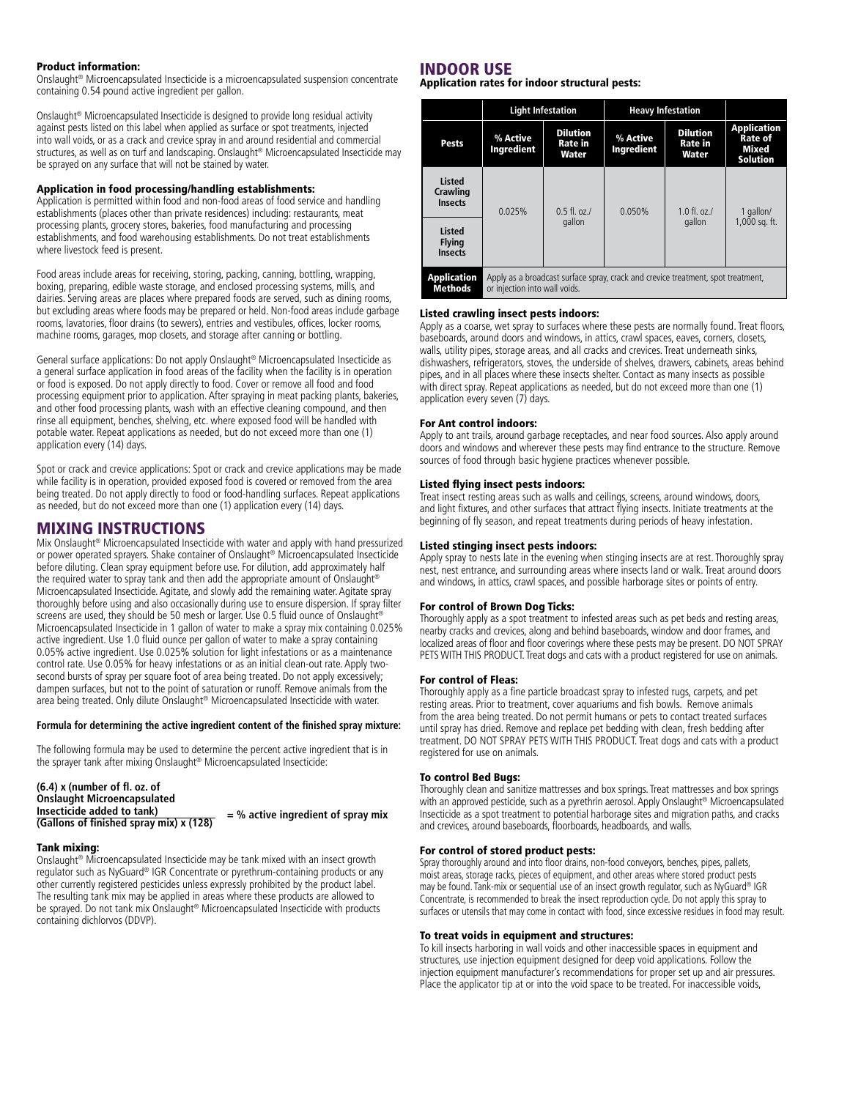#### Product information:

Onslaught® Microencapsulated Insecticide is a microencapsulated suspension concentrate containing 0.54 pound active ingredient per gallon.

Onslaught® Microencapsulated Insecticide is designed to provide long residual activity against pests listed on this label when applied as surface or spot treatments, injected into wall voids, or as a crack and crevice spray in and around residential and commercial structures, as well as on turf and landscaping. Onslaught® Microencapsulated Insecticide may be sprayed on any surface that will not be stained by water.

#### Application in food processing/handling establishments:

Application is permitted within food and non-food areas of food service and handling establishments (places other than private residences) including: restaurants, meat processing plants, grocery stores, bakeries, food manufacturing and processing establishments, and food warehousing establishments. Do not treat establishments where livestock feed is present.

Food areas include areas for receiving, storing, packing, canning, bottling, wrapping, boxing, preparing, edible waste storage, and enclosed processing systems, mills, and dairies. Serving areas are places where prepared foods are served, such as dining rooms, but excluding areas where foods may be prepared or held. Non-food areas include garbage rooms, lavatories, floor drains (to sewers), entries and vestibules, offices, locker rooms, machine rooms, garages, mop closets, and storage after canning or bottling.

General surface applications: Do not apply Onslaught® Microencapsulated Insecticide as a general surface application in food areas of the facility when the facility is in operation or food is exposed. Do not apply directly to food. Cover or remove all food and food processing equipment prior to application. After spraying in meat packing plants, bakeries, and other food processing plants, wash with an effective cleaning compound, and then rinse all equipment, benches, shelving, etc. where exposed food will be handled with potable water. Repeat applications as needed, but do not exceed more than one (1) application every (14) days.

Spot or crack and crevice applications: Spot or crack and crevice applications may be made while facility is in operation, provided exposed food is covered or removed from the area being treated. Do not apply directly to food or food-handling surfaces. Repeat applications as needed, but do not exceed more than one (1) application every (14) days.

## MIXING INSTRUCTIONS

Mix Onslaught® Microencapsulated Insecticide with water and apply with hand pressurized or power operated sprayers. Shake container of Onslaught® Microencapsulated Insecticide before diluting. Clean spray equipment before use. For dilution, add approximately half the required water to spray tank and then add the appropriate amount of Onslaught<sup>®</sup> Microencapsulated Insecticide. Agitate, and slowly add the remaining water. Agitate spray thoroughly before using and also occasionally during use to ensure dispersion. If spray filter screens are used, they should be 50 mesh or larger. Use 0.5 fluid ounce of Onslaught<sup>6</sup> Microencapsulated Insecticide in 1 gallon of water to make a spray mix containing 0.025% active ingredient. Use 1.0 fluid ounce per gallon of water to make a spray containing 0.05% active ingredient. Use 0.025% solution for light infestations or as a maintenance control rate. Use 0.05% for heavy infestations or as an initial clean-out rate. Apply twosecond bursts of spray per square foot of area being treated. Do not apply excessively; dampen surfaces, but not to the point of saturation or runoff. Remove animals from the area being treated. Only dilute Onslaught® Microencapsulated Insecticide with water.

#### **Formula for determining the active ingredient content of the finished spray mixture:**

The following formula may be used to determine the percent active ingredient that is in the sprayer tank after mixing Onslaught® Microencapsulated Insecticide:

#### **(6.4) x (number of fl. oz. of Onslaught Microencapsulated Insecticide added to tank) (Gallons of finished spray mix) x (128) = % active ingredient of spray mix**

#### Tank mixing:

Onslaught® Microencapsulated Insecticide may be tank mixed with an insect growth regulator such as NyGuard® IGR Concentrate or pyrethrum-containing products or any other currently registered pesticides unless expressly prohibited by the product label. The resulting tank mix may be applied in areas where these products are allowed to be sprayed. Do not tank mix Onslaught® Microencapsulated Insecticide with products containing dichlorvos (DDVP).

## INDOOR USE

Application rates for indoor structural pests:

|                                                  | <b>Light Infestation</b>                                                                                          |                                            | <b>Heavy Infestation</b> |                                            |                                                                  |
|--------------------------------------------------|-------------------------------------------------------------------------------------------------------------------|--------------------------------------------|--------------------------|--------------------------------------------|------------------------------------------------------------------|
| <b>Pests</b>                                     | % Active<br>Ingredient                                                                                            | <b>Dilution</b><br><b>Rate in</b><br>Water | % Active<br>Ingredient   | <b>Dilution</b><br><b>Rate</b> in<br>Water | <b>Application</b><br><b>Rate of</b><br>Mixed<br><b>Solution</b> |
| <b>Listed</b><br>Crawling<br><b>Insects</b>      | 0.025%                                                                                                            | $0.5$ fl. oz./<br>gallon                   | 0.050%                   | $1.0 \text{ fl.}$ $07$ .<br>gallon         | 1 gallon/<br>1,000 sq. ft.                                       |
| <b>Listed</b><br><b>Flying</b><br><b>Insects</b> |                                                                                                                   |                                            |                          |                                            |                                                                  |
| <b>Application</b><br><b>Methods</b>             | Apply as a broadcast surface spray, crack and crevice treatment, spot treatment,<br>or injection into wall voids. |                                            |                          |                                            |                                                                  |

#### Listed crawling insect pests indoors:

Apply as a coarse, wet spray to surfaces where these pests are normally found. Treat floors, baseboards, around doors and windows, in attics, crawl spaces, eaves, corners, closets, walls, utility pipes, storage areas, and all cracks and crevices. Treat underneath sinks, dishwashers, refrigerators, stoves, the underside of shelves, drawers, cabinets, areas behind pipes, and in all places where these insects shelter. Contact as many insects as possible with direct spray. Repeat applications as needed, but do not exceed more than one (1) application every seven (7) days.

#### For Ant control indoors:

Apply to ant trails, around garbage receptacles, and near food sources. Also apply around doors and windows and wherever these pests may find entrance to the structure. Remove sources of food through basic hygiene practices whenever possible.

#### Listed flying insect pests indoors:

Treat insect resting areas such as walls and ceilings, screens, around windows, doors, and light fixtures, and other surfaces that attract flying insects. Initiate treatments at the beginning of fly season, and repeat treatments during periods of heavy infestation.

#### Listed stinging insect pests indoors:

Apply spray to nests late in the evening when stinging insects are at rest. Thoroughly spray nest, nest entrance, and surrounding areas where insects land or walk. Treat around doors and windows, in attics, crawl spaces, and possible harborage sites or points of entry.

#### For control of Brown Dog Ticks:

Thoroughly apply as a spot treatment to infested areas such as pet beds and resting areas, nearby cracks and crevices, along and behind baseboards, window and door frames, and localized areas of floor and floor coverings where these pests may be present. DO NOT SPRAY PETS WITH THIS PRODUCT. Treat dogs and cats with a product registered for use on animals.

#### For control of Fleas:

Thoroughly apply as a fine particle broadcast spray to infested rugs, carpets, and pet resting areas. Prior to treatment, cover aquariums and fish bowls. Remove animals from the area being treated. Do not permit humans or pets to contact treated surfaces until spray has dried. Remove and replace pet bedding with clean, fresh bedding after treatment. DO NOT SPRAY PETS WITH THIS PRODUCT. Treat dogs and cats with a product registered for use on animals.

#### To control Bed Bugs:

Thoroughly clean and sanitize mattresses and box springs. Treat mattresses and box springs with an approved pesticide, such as a pyrethrin aerosol. Apply Onslaught® Microencapsulated Insecticide as a spot treatment to potential harborage sites and migration paths, and cracks and crevices, around baseboards, floorboards, headboards, and walls.

#### For control of stored product pests:

Spray thoroughly around and into floor drains, non-food conveyors, benches, pipes, pallets, moist areas, storage racks, pieces of equipment, and other areas where stored product pests may be found. Tank-mix or sequential use of an insect growth regulator, such as NyGuard® IGR Concentrate, is recommended to break the insect reproduction cycle. Do not apply this spray to surfaces or utensils that may come in contact with food, since excessive residues in food may result.

#### To treat voids in equipment and structures:

To kill insects harboring in wall voids and other inaccessible spaces in equipment and structures, use injection equipment designed for deep void applications. Follow the injection equipment manufacturer's recommendations for proper set up and air pressures. Place the applicator tip at or into the void space to be treated. For inaccessible voids,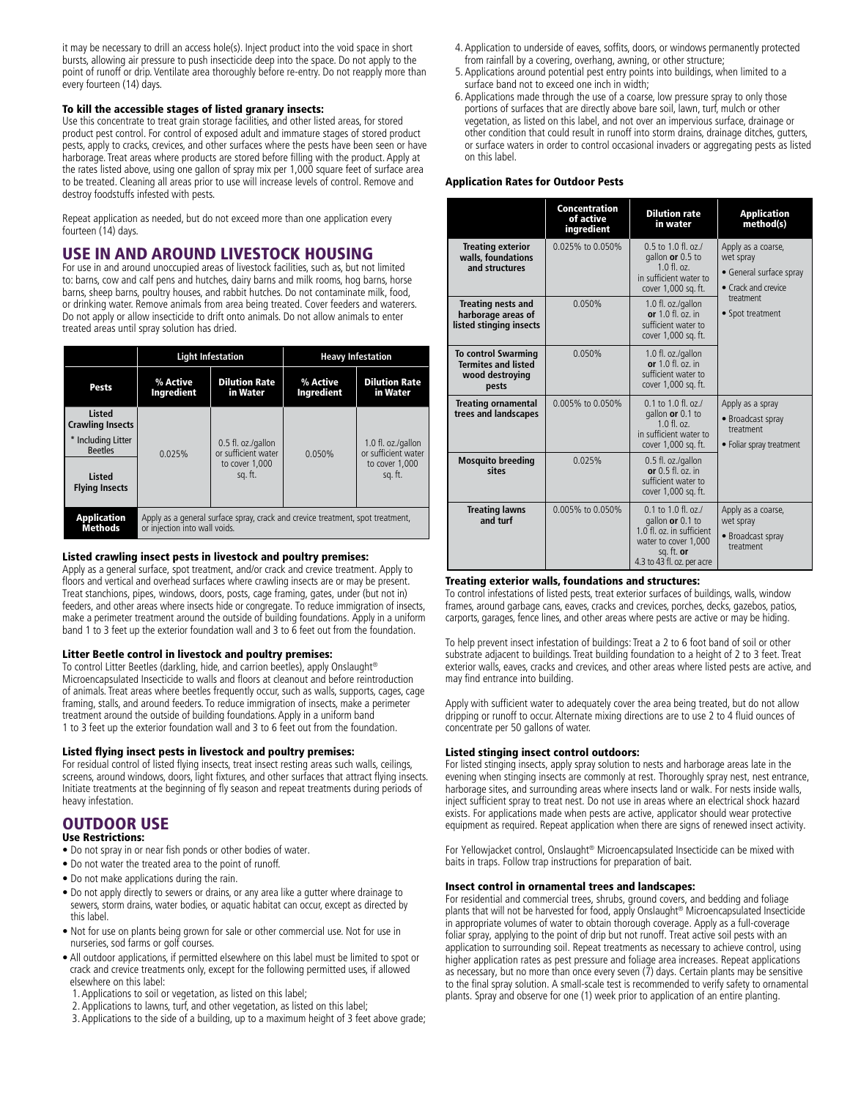it may be necessary to drill an access hole(s). Inject product into the void space in short bursts, allowing air pressure to push insecticide deep into the space. Do not apply to the point of runoff or drip. Ventilate area thoroughly before re-entry. Do not reapply more than every fourteen (14) days.

#### To kill the accessible stages of listed granary insects:

Use this concentrate to treat grain storage facilities, and other listed areas, for stored product pest control. For control of exposed adult and immature stages of stored product pests, apply to cracks, crevices, and other surfaces where the pests have been seen or have harborage. Treat areas where products are stored before filling with the product. Apply at the rates listed above, using one gallon of spray mix per 1,000 square feet of surface area to be treated. Cleaning all areas prior to use will increase levels of control. Remove and destroy foodstuffs infested with pests.

Repeat application as needed, but do not exceed more than one application every fourteen (14) days.

# USE IN AND AROUND LIVESTOCK HOUSING

For use in and around unoccupied areas of livestock facilities, such as, but not limited to: barns, cow and calf pens and hutches, dairy barns and milk rooms, hog barns, horse barns, sheep barns, poultry houses, and rabbit hutches. Do not contaminate milk, food, or drinking water. Remove animals from area being treated. Cover feeders and waterers. Do not apply or allow insecticide to drift onto animals. Do not allow animals to enter treated areas until spray solution has dried.

|                                          | <b>Light Infestation</b>                                                                                        |                                                                        | <b>Heavy Infestation</b> |                                                                        |
|------------------------------------------|-----------------------------------------------------------------------------------------------------------------|------------------------------------------------------------------------|--------------------------|------------------------------------------------------------------------|
| Pests                                    | % Active<br><b>Ingredient</b>                                                                                   | <b>Dilution Rate</b><br>in Water                                       | % Active<br>Ingredient   | <b>Dilution Rate</b><br>in Water                                       |
| <b>Listed</b><br><b>Crawling Insects</b> |                                                                                                                 | 0.5 fl. oz./gallon<br>or sufficient water<br>to cover 1.000<br>sg. ft. | 0.050%                   | 1.0 fl. oz./gallon<br>or sufficient water<br>to cover 1.000<br>sq. ft. |
| * Including Litter<br><b>Beetles</b>     | 0.025%                                                                                                          |                                                                        |                          |                                                                        |
| <b>Listed</b><br><b>Flying Insects</b>   |                                                                                                                 |                                                                        |                          |                                                                        |
| <b>Application</b><br><b>Methods</b>     | Apply as a general surface spray, crack and crevice treatment, spot treatment,<br>or injection into wall voids. |                                                                        |                          |                                                                        |

#### Listed crawling insect pests in livestock and poultry premises:

Apply as a general surface, spot treatment, and/or crack and crevice treatment. Apply to floors and vertical and overhead surfaces where crawling insects are or may be present. Treat stanchions, pipes, windows, doors, posts, cage framing, gates, under (but not in) feeders, and other areas where insects hide or congregate. To reduce immigration of insects, make a perimeter treatment around the outside of building foundations. Apply in a uniform band 1 to 3 feet up the exterior foundation wall and 3 to 6 feet out from the foundation.

#### Litter Beetle control in livestock and poultry premises:

To control Litter Beetles (darkling, hide, and carrion beetles), apply Onslaught® Microencapsulated Insecticide to walls and floors at cleanout and before reintroduction of animals. Treat areas where beetles frequently occur, such as walls, supports, cages, cage framing, stalls, and around feeders. To reduce immigration of insects, make a perimeter treatment around the outside of building foundations. Apply in a uniform band 1 to 3 feet up the exterior foundation wall and 3 to 6 feet out from the foundation.

#### Listed flying insect pests in livestock and poultry premises:

For residual control of listed flying insects, treat insect resting areas such walls, ceilings, screens, around windows, doors, light fixtures, and other surfaces that attract flying insects. Initiate treatments at the beginning of fly season and repeat treatments during periods of heavy infestation.

# OUTDOOR USE

#### Use Restrictions:

- Do not spray in or near fish ponds or other bodies of water.
- Do not water the treated area to the point of runoff.
- Do not make applications during the rain.
- Do not apply directly to sewers or drains, or any area like a gutter where drainage to sewers, storm drains, water bodies, or aquatic habitat can occur, except as directed by this label.
- Not for use on plants being grown for sale or other commercial use. Not for use in nurseries, sod farms or golf courses.
- All outdoor applications, if permitted elsewhere on this label must be limited to spot or crack and crevice treatments only, except for the following permitted uses, if allowed elsewhere on this label:
- 1. Applications to soil or vegetation, as listed on this label;
- 2. Applications to lawns, turf, and other vegetation, as listed on this label;
- 3. Applications to the side of a building, up to a maximum height of 3 feet above grade;
- 4. Application to underside of eaves, soffits, doors, or windows permanently protected from rainfall by a covering, overhang, awning, or other structure;
- 5. Applications around potential pest entry points into buildings, when limited to a surface band not to exceed one inch in width;
- 6. Applications made through the use of a coarse, low pressure spray to only those portions of surfaces that are directly above bare soil, lawn, turf, mulch or other vegetation, as listed on this label, and not over an impervious surface, drainage or other condition that could result in runoff into storm drains, drainage ditches, gutters, or surface waters in order to control occasional invaders or aggregating pests as listed on this label.

#### Application Rates for Outdoor Pests

|                                                                                      | Concentration<br>of active<br>ingredient | <b>Dilution rate</b><br>in water                                                                                                             | <b>Application</b><br>method(s)                                                                                    |  |
|--------------------------------------------------------------------------------------|------------------------------------------|----------------------------------------------------------------------------------------------------------------------------------------------|--------------------------------------------------------------------------------------------------------------------|--|
| <b>Treating exterior</b><br>walls, foundations<br>and structures                     | 0.025% to 0.050%                         | $0.5$ to 1.0 fl. oz./<br>gallon or 0.5 to<br>$1.0 \text{ fl.}$ $oz.$<br>in sufficient water to<br>cover 1,000 sq. ft.                        | Apply as a coarse,<br>wet spray<br>• General surface spray<br>• Crack and crevice<br>treatment<br>• Spot treatment |  |
| <b>Treating nests and</b><br>harborage areas of<br>listed stinging insects           | 0.050%                                   | 1.0 fl. oz./gallon<br>or $1.0$ fl. $oz$ , in<br>sufficient water to<br>cover 1,000 sq. ft.                                                   |                                                                                                                    |  |
| <b>To control Swarming</b><br><b>Termites and listed</b><br>wood destroying<br>pests | 0.050%                                   | 1.0 fl. oz./gallon<br>or $1.0$ fl. oz. in<br>sufficient water to<br>cover 1,000 sq. ft.                                                      |                                                                                                                    |  |
| <b>Treating ornamental</b><br>trees and landscapes                                   | 0.005% to 0.050%                         | $0.1$ to $1.0$ fl. oz./<br>gallon or 0.1 to<br>$10f$ $0z$<br>in sufficient water to<br>cover 1,000 sq. ft.                                   | Apply as a spray<br>• Broadcast spray<br>treatment<br>• Foliar spray treatment                                     |  |
| <b>Mosquito breeding</b><br>sites                                                    | 0.025%                                   | 0.5 fl. oz./gallon<br>or $0.5$ fl. $oz$ , in<br>sufficient water to<br>cover 1,000 sq. ft.                                                   |                                                                                                                    |  |
| <b>Treating lawns</b><br>and turf                                                    | 0.005% to 0.050%                         | $0.1$ to $1.0$ fl. oz./<br>gallon or 0.1 to<br>1.0 fl. oz. in sufficient<br>water to cover 1,000<br>sq. ft. or<br>4.3 to 43 fl. oz. per acre | Apply as a coarse,<br>wet spray<br>• Broadcast spray<br>treatment                                                  |  |

#### Treating exterior walls, foundations and structures:

To control infestations of listed pests, treat exterior surfaces of buildings, walls, window frames, around garbage cans, eaves, cracks and crevices, porches, decks, gazebos, patios, carports, garages, fence lines, and other areas where pests are active or may be hiding.

To help prevent insect infestation of buildings: Treat a 2 to 6 foot band of soil or other substrate adjacent to buildings. Treat building foundation to a height of 2 to 3 feet. Treat exterior walls, eaves, cracks and crevices, and other areas where listed pests are active, and may find entrance into building.

Apply with sufficient water to adequately cover the area being treated, but do not allow dripping or runoff to occur. Alternate mixing directions are to use 2 to 4 fluid ounces of concentrate per 50 gallons of water.

#### Listed stinging insect control outdoors:

For listed stinging insects, apply spray solution to nests and harborage areas late in the evening when stinging insects are commonly at rest. Thoroughly spray nest, nest entrance, harborage sites, and surrounding areas where insects land or walk. For nests inside walls, inject sufficient spray to treat nest. Do not use in areas where an electrical shock hazard exists. For applications made when pests are active, applicator should wear protective equipment as required. Repeat application when there are signs of renewed insect activity.

For Yellowjacket control, Onslaught® Microencapsulated Insecticide can be mixed with baits in traps. Follow trap instructions for preparation of bait.

#### Insect control in ornamental trees and landscapes:

For residential and commercial trees, shrubs, ground covers, and bedding and foliage plants that will not be harvested for food, apply Onslaught® Microencapsulated Insecticide in appropriate volumes of water to obtain thorough coverage. Apply as a full-coverage foliar spray, applying to the point of drip but not runoff. Treat active soil pests with an application to surrounding soil. Repeat treatments as necessary to achieve control, using higher application rates as pest pressure and foliage area increases. Repeat applications as necessary, but no more than once every seven (7) days. Certain plants may be sensitive to the final spray solution. A small-scale test is recommended to verify safety to ornamental plants. Spray and observe for one (1) week prior to application of an entire planting.